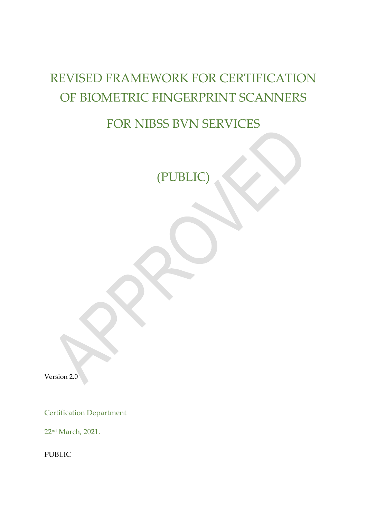# REVISED FRAMEWORK FOR CERTIFICATION OF BIOMETRIC FINGERPRINT SCANNERS

## FOR NIBSS BVN SERVICES

(PUBLIC)

Version 2.0

Certification Department

22nd March, 2021.

PUBLIC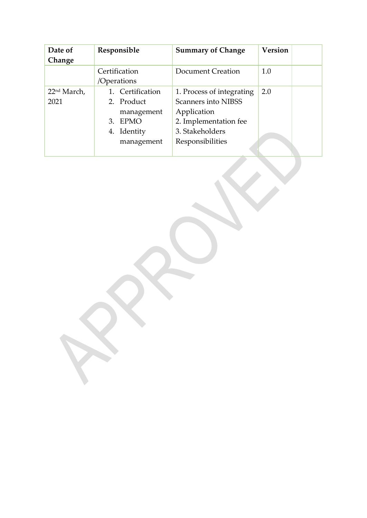| Date of                 | Responsible      | <b>Summary of Change</b>   | <b>Version</b> |
|-------------------------|------------------|----------------------------|----------------|
| Change                  |                  |                            |                |
|                         | Certification    | Document Creation          | 1.0            |
|                         | /Operations      |                            |                |
| 22 <sup>nd</sup> March, | 1. Certification | 1. Process of integrating  | 2.0            |
| 2021                    | 2. Product       | <b>Scanners into NIBSS</b> |                |
|                         | management       | Application                |                |
|                         | 3. EPMO          | 2. Implementation fee      |                |
|                         | 4. Identity      | 3. Stakeholders            |                |
|                         | management       | Responsibilities           |                |
|                         |                  |                            |                |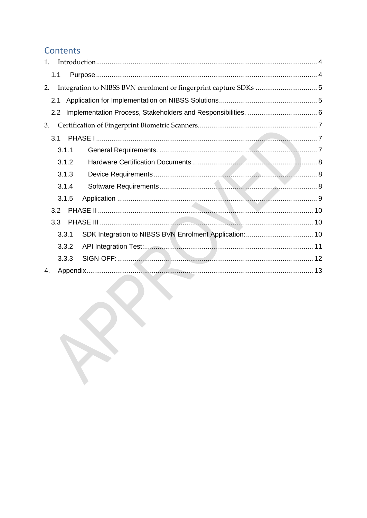## Contents

| $\mathbf{1}$ |               |       |  |
|--------------|---------------|-------|--|
|              | 1.1           |       |  |
| 2.           |               |       |  |
|              | 2.1           |       |  |
|              | $2.2^{\circ}$ |       |  |
| 3.           |               |       |  |
|              | 3.1           |       |  |
|              |               | 3.1.1 |  |
|              |               | 3.1.2 |  |
|              |               | 3.1.3 |  |
|              |               | 3.1.4 |  |
|              |               | 3.1.5 |  |
|              | 3.2           |       |  |
|              | 3.3           |       |  |
|              |               | 3.3.1 |  |
|              |               | 3.3.2 |  |
|              |               | 3.3.3 |  |
| 4.           |               |       |  |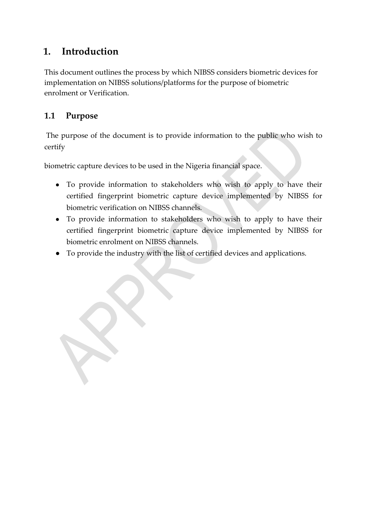## <span id="page-3-0"></span>**1. Introduction**

This document outlines the process by which NIBSS considers biometric devices for implementation on NIBSS solutions/platforms for the purpose of biometric enrolment or Verification.

### <span id="page-3-1"></span>**1.1 Purpose**

The purpose of the document is to provide information to the public who wish to certify

biometric capture devices to be used in the Nigeria financial space.

- To provide information to stakeholders who wish to apply to have their certified fingerprint biometric capture device implemented by NIBSS for biometric verification on NIBSS channels.
- To provide information to stakeholders who wish to apply to have their certified fingerprint biometric capture device implemented by NIBSS for biometric enrolment on NIBSS channels.
- To provide the industry with the list of certified devices and applications.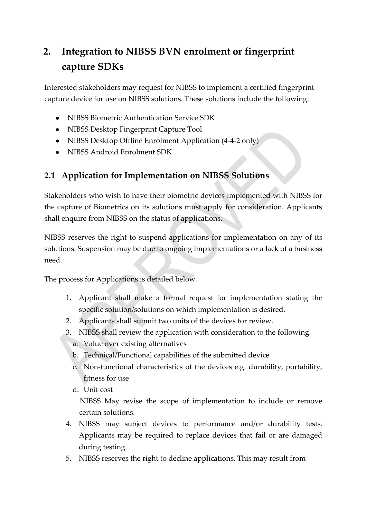## <span id="page-4-0"></span>**2. Integration to NIBSS BVN enrolment or fingerprint capture SDKs**

Interested stakeholders may request for NIBSS to implement a certified fingerprint capture device for use on NIBSS solutions. These solutions include the following.

- NIBSS Biometric Authentication Service SDK
- NIBSS Desktop Fingerprint Capture Tool
- NIBSS Desktop Offline Enrolment Application (4-4-2 only)
- NIBSS Android Enrolment SDK

### <span id="page-4-1"></span>**2.1 Application for Implementation on NIBSS Solutions**

Stakeholders who wish to have their biometric devices implemented with NIBSS for the capture of Biometrics on its solutions must apply for consideration. Applicants shall enquire from NIBSS on the status of applications.

NIBSS reserves the right to suspend applications for implementation on any of its solutions. Suspension may be due to ongoing implementations or a lack of a business need.

The process for Applications is detailed below.

- 1. Applicant shall make a formal request for implementation stating the specific solution/solutions on which implementation is desired.
- 2. Applicants shall submit two units of the devices for review.
- 3. NIBSS shall review the application with consideration to the following.
	- a. Value over existing alternatives
	- b. Technical/Functional capabilities of the submitted device
	- c. Non-functional characteristics of the devices e.g. durability, portability, fitness for use
	- d. Unit cost

NIBSS May revise the scope of implementation to include or remove certain solutions.

- 4. NIBSS may subject devices to performance and/or durability tests. Applicants may be required to replace devices that fail or are damaged during testing.
- 5. NIBSS reserves the right to decline applications. This may result from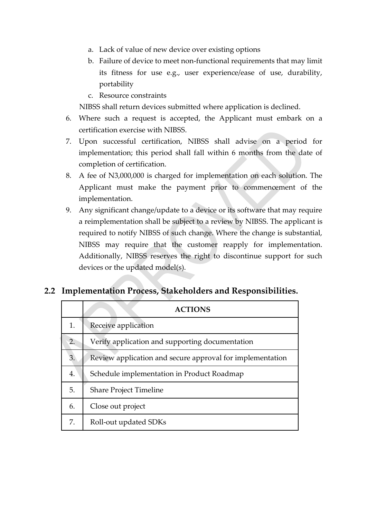- a. Lack of value of new device over existing options
- b. Failure of device to meet non-functional requirements that may limit its fitness for use e.g., user experience/ease of use, durability, portability
- c. Resource constraints

NIBSS shall return devices submitted where application is declined.

- 6. Where such a request is accepted, the Applicant must embark on a certification exercise with NIBSS.
- 7. Upon successful certification, NIBSS shall advise on a period for implementation; this period shall fall within 6 months from the date of completion of certification.
- 8. A fee of N3,000,000 is charged for implementation on each solution. The Applicant must make the payment prior to commencement of the implementation.
- 9. Any significant change/update to a device or its software that may require a reimplementation shall be subject to a review by NIBSS. The applicant is required to notify NIBSS of such change. Where the change is substantial, NIBSS may require that the customer reapply for implementation. Additionally, NIBSS reserves the right to discontinue support for such devices or the updated model(s).

#### <span id="page-5-0"></span>**2.2 Implementation Process, Stakeholders and Responsibilities.**

|    | <b>ACTIONS</b>                                            |
|----|-----------------------------------------------------------|
| 1. | Receive application                                       |
| 2. | Verify application and supporting documentation           |
| 3. | Review application and secure approval for implementation |
| 4. | Schedule implementation in Product Roadmap                |
| 5. | <b>Share Project Timeline</b>                             |
| 6. | Close out project                                         |
| 7. | Roll-out updated SDKs                                     |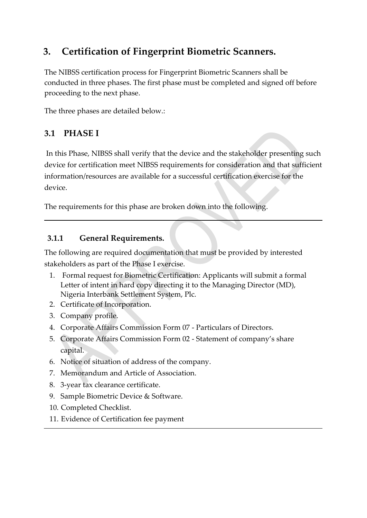## <span id="page-6-0"></span>**3. Certification of Fingerprint Biometric Scanners.**

The NIBSS certification process for Fingerprint Biometric Scanners shall be conducted in three phases. The first phase must be completed and signed off before proceeding to the next phase.

The three phases are detailed below.:

## <span id="page-6-1"></span>**3.1 PHASE I**

In this Phase, NIBSS shall verify that the device and the stakeholder presenting such device for certification meet NIBSS requirements for consideration and that sufficient information/resources are available for a successful certification exercise for the device.

The requirements for this phase are broken down into the following.

#### <span id="page-6-2"></span>**3.1.1 General Requirements.**

The following are required documentation that must be provided by interested stakeholders as part of the Phase I exercise.

- 1. Formal request for Biometric Certification: Applicants will submit a formal Letter of intent in hard copy directing it to the Managing Director (MD), Nigeria Interbank Settlement System, Plc.
- 2. Certificate of Incorporation.
- 3. Company profile.
- 4. Corporate Affairs Commission Form 07 Particulars of Directors.
- 5. Corporate Affairs Commission Form 02 Statement of company's share capital.
- 6. Notice of situation of address of the company.
- 7. Memorandum and Article of Association.
- 8. 3-year tax clearance certificate.
- 9. Sample Biometric Device & Software.
- 10. Completed Checklist.
- 11. Evidence of Certification fee payment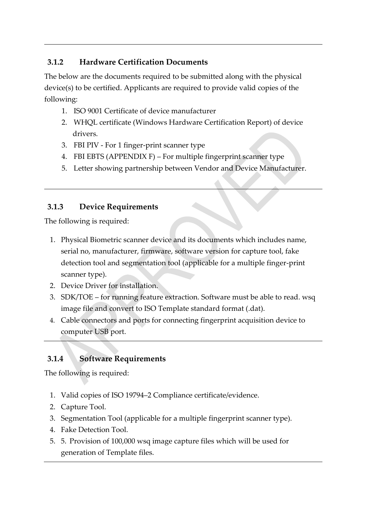#### <span id="page-7-0"></span>**3.1.2 Hardware Certification Documents**

The below are the documents required to be submitted along with the physical device(s) to be certified. Applicants are required to provide valid copies of the following:

- 1. ISO 9001 Certificate of device manufacturer
- 2. WHQL certificate (Windows Hardware Certification Report) of device drivers.
- 3. FBI PIV For 1 finger-print scanner type
- 4. FBI EBTS (APPENDIX F) For multiple fingerprint scanner type
- 5. Letter showing partnership between Vendor and Device Manufacturer.

#### <span id="page-7-1"></span>**3.1.3 Device Requirements**

The following is required:

- 1. Physical Biometric scanner device and its documents which includes name, serial no, manufacturer, firmware, software version for capture tool, fake detection tool and segmentation tool (applicable for a multiple finger-print scanner type).
- 2. Device Driver for installation.
- 3. SDK/TOE for running feature extraction. Software must be able to read. wsq image file and convert to ISO Template standard format (.dat).
- 4. Cable connectors and ports for connecting fingerprint acquisition device to computer USB port.

### <span id="page-7-2"></span>**3.1.4 Software Requirements**

The following is required:

- 1. Valid copies of ISO 19794–2 Compliance certificate/evidence.
- 2. Capture Tool.
- 3. Segmentation Tool (applicable for a multiple fingerprint scanner type).
- 4. Fake Detection Tool.
- 5. 5. Provision of 100,000 wsq image capture files which will be used for generation of Template files.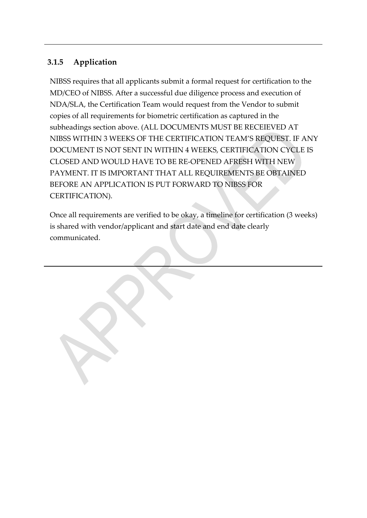#### <span id="page-8-0"></span>**3.1.5 Application**

NIBSS requires that all applicants submit a formal request for certification to the MD/CEO of NIBSS. After a successful due diligence process and execution of NDA/SLA, the Certification Team would request from the Vendor to submit copies of all requirements for biometric certification as captured in the subheadings section above. (ALL DOCUMENTS MUST BE RECEIEVED AT NIBSS WITHIN 3 WEEKS OF THE CERTIFICATION TEAM'S REQUEST. IF ANY DOCUMENT IS NOT SENT IN WITHIN 4 WEEKS, CERTIFICATION CYCLE IS CLOSED AND WOULD HAVE TO BE RE-OPENED AFRESH WITH NEW PAYMENT. IT IS IMPORTANT THAT ALL REQUIREMENTS BE OBTAINED BEFORE AN APPLICATION IS PUT FORWARD TO NIBSS FOR CERTIFICATION).

2. Once all requirements are verified to be okay, a timeline for certification (3 weeks) is shared with vendor/applicant and start date and end date clearly communicated.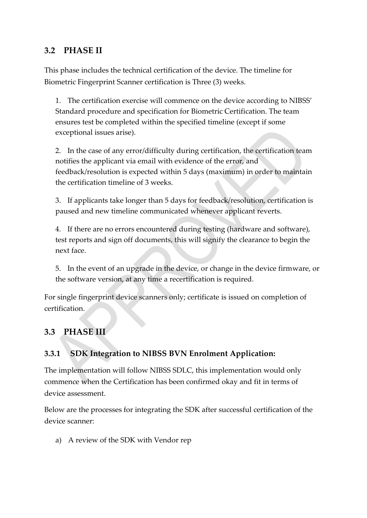#### <span id="page-9-0"></span>**3.2 PHASE II**

This phase includes the technical certification of the device. The timeline for Biometric Fingerprint Scanner certification is Three (3) weeks.

1. The certification exercise will commence on the device according to NIBSS' Standard procedure and specification for Biometric Certification. The team ensures test be completed within the specified timeline (except if some exceptional issues arise).

2. In the case of any error/difficulty during certification, the certification team notifies the applicant via email with evidence of the error, and feedback/resolution is expected within 5 days (maximum) in order to maintain the certification timeline of 3 weeks.

3. If applicants take longer than 5 days for feedback/resolution, certification is paused and new timeline communicated whenever applicant reverts.

4. If there are no errors encountered during testing (hardware and software), test reports and sign off documents, this will signify the clearance to begin the next face.

5. In the event of an upgrade in the device, or change in the device firmware, or the software version, at any time a recertification is required.

For single fingerprint device scanners only; certificate is issued on completion of certification.

### <span id="page-9-1"></span>**3.3 PHASE III**

#### <span id="page-9-2"></span>**3.3.1 SDK Integration to NIBSS BVN Enrolment Application:**

The implementation will follow NIBSS SDLC, this implementation would only commence when the Certification has been confirmed okay and fit in terms of device assessment.

Below are the processes for integrating the SDK after successful certification of the device scanner:

a) A review of the SDK with Vendor rep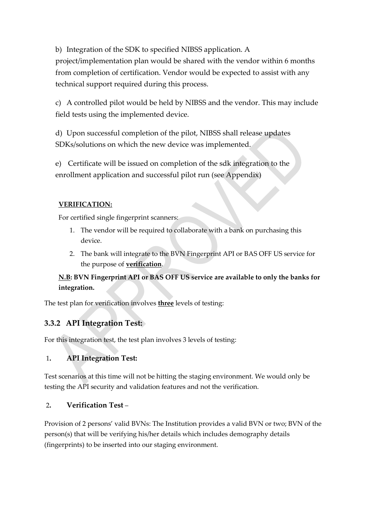b) Integration of the SDK to specified NIBSS application. A project/implementation plan would be shared with the vendor within 6 months from completion of certification. Vendor would be expected to assist with any technical support required during this process.

c) A controlled pilot would be held by NIBSS and the vendor. This may include field tests using the implemented device.

d) Upon successful completion of the pilot, NIBSS shall release updates SDKs/solutions on which the new device was implemented.

e) Certificate will be issued on completion of the sdk integration to the enrollment application and successful pilot run (see Appendix)

#### **VERIFICATION:**

For certified single fingerprint scanners:

- 1. The vendor will be required to collaborate with a bank on purchasing this device.
- 2. The bank will integrate to the BVN Fingerprint API or BAS OFF US service for the purpose of **verification**.

**N.B: BVN Fingerprint API or BAS OFF US service are available to only the banks for integration.**

The test plan for verification involves **three** levels of testing:

#### <span id="page-10-0"></span>**3.3.2 API Integration Test:**

For this integration test, the test plan involves 3 levels of testing:

#### 1**. API Integration Test:**

Test scenarios at this time will not be hitting the staging environment. We would only be testing the API security and validation features and not the verification.

#### 2**. Verification Test** –

Provision of 2 persons' valid BVNs: The Institution provides a valid BVN or two; BVN of the person(s) that will be verifying his/her details which includes demography details (fingerprints) to be inserted into our staging environment.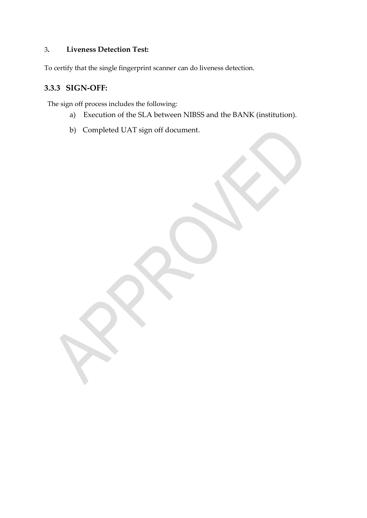#### 3**. Liveness Detection Test:**

To certify that the single fingerprint scanner can do liveness detection.

#### <span id="page-11-0"></span>**3.3.3 SIGN-OFF:**

The sign off process includes the following:

- a) Execution of the SLA between NIBSS and the BANK (institution).
- b) Completed UAT sign off document.